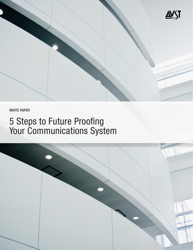

WHITE PAPER

# 5 Steps to Future Proofing Your Communications System

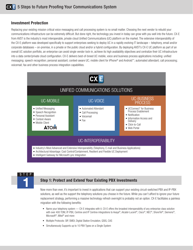### **Investment Protection**

Replacing your existing mission critical voice messaging and call processing system is no small matter. Choosing the next vendor to rebuild your communications infrastructure can be extremely difficult. But done right, the technology you invest in today can grow with you well into the future. CX-E from AVST is the industry's most interoperable, private cloud Unified Communications (UC) platform on the market. The extensive interoperability of the CX-E platform was developed specifically to support enterprises seeking to deploy UC in a rapidly evolving IT landscape – telephony, email and/or corporate databases – on-premise, in a private or the public cloud and/or a hybrid configuration. By deploying AVST's CX-E UC platform as part of an overall UC solution portfolio, an enterprise can avoid single vendor lock-in, achieve its high availability objectives and centralize their UC infrastructure into a data center/private cloud configuration. CX-E delivers best-of-breed UC mobile, voice and business process applications including: unified messaging; speech recognition; personal assistant; context-aware UC; mobile client for iPhone® and Android™; automated attendant; call processing; voicemail; fax and other business process integration capabilities.



TEP

### **Step 1: Protect and Extend Your Existing PBX Investments**

Now more than ever, it's important to invest in applications that can support your existing circuit-switched PBX and IP-PBX solutions, as well as the support the telephony solutions you choose in the future. While you can't afford to ignore your future replacement strategy, performing a massive technology refresh overnight is probably not an option. CX-E facilitates a painless migration with the following benefits:

- Name your telephony system CX-E integrates with it. CX-E offers the broadest interoperability of any enterprise class solution with over 400 TDM, IP-PBX, Centrex and IP Centrex integrations to Avaya®, Alcatel-Lucent®, Cisco®, NEC®, ShoreTel®, Siemens®, Microsoft®, Mitel® and more
- Multiple Protocols: SIP, SMDI, Digital Station Emulation, QSIG, CAS
- Simultaneously Supports up to 10 PBX Types on a Single System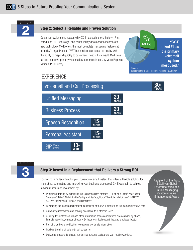

### **Step 2: Select a Reliable and Proven Solution**

Customer loyalty is one reason why CX-E has such a long history. First introduced 30+ years ago, and continuously developed to incorporate new technology, CX-E offers the most complete messaging feature set for today's organizations. AVST has a relentless pursuit of quality with the agility to respond quickly to customers' needs. As a result, CX-E was ranked as the #1 primary voicemail system most in use, by Voice Report's National PBX Survey.



## **EXPERIENCE**





### **Step 3: Invest in a Replacement that Delivers a Strong ROI**

Looking for a replacement for your current voicemail system that offers a flexible solution for integrating, automating and improving your business processes? CX-E was built to achieve maximum return on investment by:

- Minimizing training by mimicking the Telephone User Interface (TUI) of your Octel<sup>®</sup> Aria<sup>®</sup>, Octel Serenade<sup>®</sup>, Mitel<sup>®</sup> NuPoint with Centigram interface, Nortel<sup>®</sup> Meridian Mail, Avaya<sup>®</sup> INTUITY<sup>™</sup> AUDIX®, Active Voice™ Kinesis and Repartee®
- Leveraging the global administration capabilities of the CX-E platform to reduce administrative cost
- Automating information and delivery accessible to customers 24x7
- Allowing for customized IVR and other information access applications such as bank by phone, financial reporting, campus directory, 24-hour technical support line, and employee locator
- Providing outbound notification to customers of timely information
- Intelligent routing of calls with call screening
- Delivering a natural language, human-like personal assistant to your mobile workforce

Recipient of the Frost & Sullivan Global Enterprise Voice and Unified Messaging Customer Value Enhancement Award